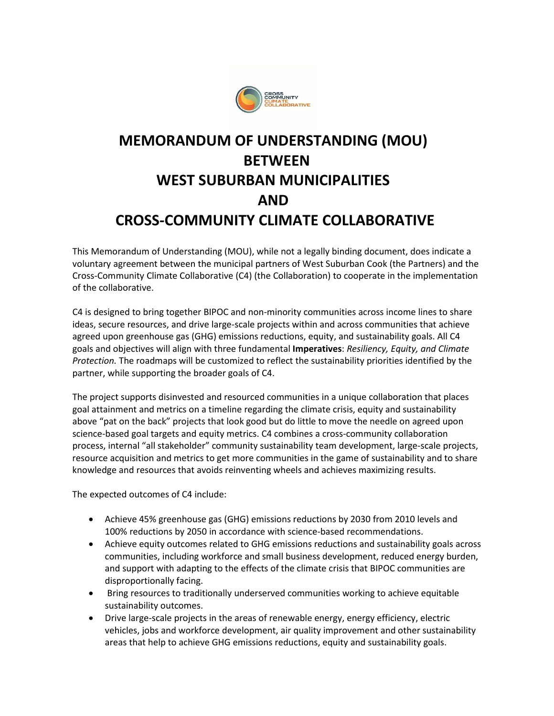

## **MEMORANDUM OF UNDERSTANDING (MOU) BETWEEN WEST SUBURBAN MUNICIPALITIES AND CROSS-COMMUNITY CLIMATE COLLABORATIVE**

This Memorandum of Understanding (MOU), while not a legally binding document, does indicate a voluntary agreement between the municipal partners of West Suburban Cook (the Partners) and the Cross-Community Climate Collaborative (C4) (the Collaboration) to cooperate in the implementation of the collaborative.

C4 is designed to bring together BIPOC and non-minority communities across income lines to share ideas, secure resources, and drive large-scale projects within and across communities that achieve agreed upon greenhouse gas (GHG) emissions reductions, equity, and sustainability goals. All C4 goals and objectives will align with three fundamental **Imperatives**: *Resiliency, Equity, and Climate Protection.* The roadmaps will be customized to reflect the sustainability priorities identified by the partner, while supporting the broader goals of C4.

The project supports disinvested and resourced communities in a unique collaboration that places goal attainment and metrics on a timeline regarding the climate crisis, equity and sustainability above "pat on the back" projects that look good but do little to move the needle on agreed upon science-based goal targets and equity metrics. C4 combines a cross-community collaboration process, internal "all stakeholder" community sustainability team development, large-scale projects, resource acquisition and metrics to get more communities in the game of sustainability and to share knowledge and resources that avoids reinventing wheels and achieves maximizing results.

The expected outcomes of C4 include:

- Achieve 45% greenhouse gas (GHG) emissions reductions by 2030 from 2010 levels and 100% reductions by 2050 in accordance with science-based recommendations.
- Achieve equity outcomes related to GHG emissions reductions and sustainability goals across communities, including workforce and small business development, reduced energy burden, and support with adapting to the effects of the climate crisis that BIPOC communities are disproportionally facing.
- Bring resources to traditionally underserved communities working to achieve equitable sustainability outcomes.
- Drive large-scale projects in the areas of renewable energy, energy efficiency, electric vehicles, jobs and workforce development, air quality improvement and other sustainability areas that help to achieve GHG emissions reductions, equity and sustainability goals.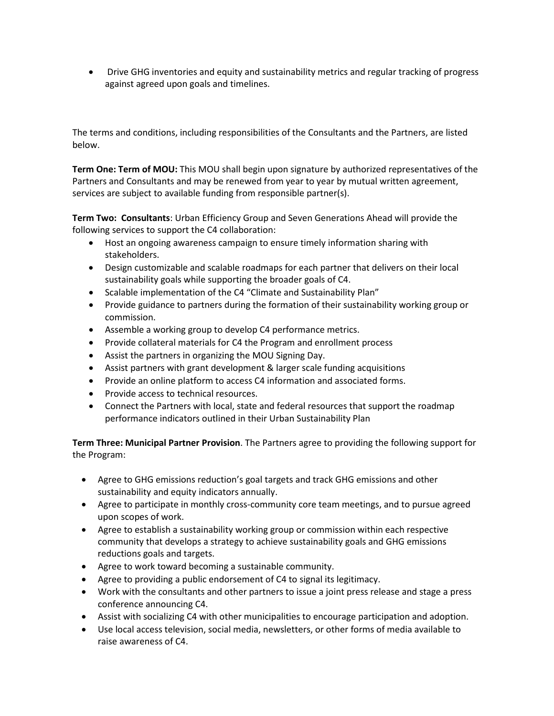• Drive GHG inventories and equity and sustainability metrics and regular tracking of progress against agreed upon goals and timelines.

The terms and conditions, including responsibilities of the Consultants and the Partners, are listed below.

**Term One: Term of MOU:** This MOU shall begin upon signature by authorized representatives of the Partners and Consultants and may be renewed from year to year by mutual written agreement, services are subject to available funding from responsible partner(s).

**Term Two: Consultants**: Urban Efficiency Group and Seven Generations Ahead will provide the following services to support the C4 collaboration:

- Host an ongoing awareness campaign to ensure timely information sharing with stakeholders.
- Design customizable and scalable roadmaps for each partner that delivers on their local sustainability goals while supporting the broader goals of C4.
- Scalable implementation of the C4 "Climate and Sustainability Plan"
- Provide guidance to partners during the formation of their sustainability working group or commission.
- Assemble a working group to develop C4 performance metrics.
- Provide collateral materials for C4 the Program and enrollment process
- Assist the partners in organizing the MOU Signing Day.
- Assist partners with grant development & larger scale funding acquisitions
- Provide an online platform to access C4 information and associated forms.
- Provide access to technical resources.
- Connect the Partners with local, state and federal resources that support the roadmap performance indicators outlined in their Urban Sustainability Plan

**Term Three: Municipal Partner Provision**. The Partners agree to providing the following support for the Program:

- Agree to GHG emissions reduction's goal targets and track GHG emissions and other sustainability and equity indicators annually.
- Agree to participate in monthly cross-community core team meetings, and to pursue agreed upon scopes of work.
- Agree to establish a sustainability working group or commission within each respective community that develops a strategy to achieve sustainability goals and GHG emissions reductions goals and targets.
- Agree to work toward becoming a sustainable community.
- Agree to providing a public endorsement of C4 to signal its legitimacy.
- Work with the consultants and other partners to issue a joint press release and stage a press conference announcing C4.
- Assist with socializing C4 with other municipalities to encourage participation and adoption.
- Use local access television, social media, newsletters, or other forms of media available to raise awareness of C4.